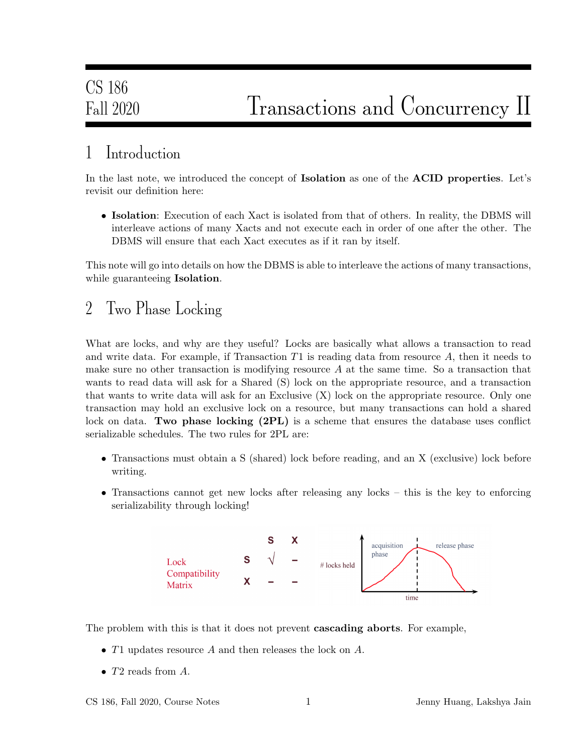## 1 Introduction

In the last note, we introduced the concept of **Isolation** as one of the **ACID** properties. Let's revisit our definition here:

• Isolation: Execution of each Xact is isolated from that of others. In reality, the DBMS will interleave actions of many Xacts and not execute each in order of one after the other. The DBMS will ensure that each Xact executes as if it ran by itself.

This note will go into details on how the DBMS is able to interleave the actions of many transactions, while guaranteeing **Isolation**.

### 2 Two Phase Locking

What are locks, and why are they useful? Locks are basically what allows a transaction to read and write data. For example, if Transaction  $T1$  is reading data from resource  $A$ , then it needs to make sure no other transaction is modifying resource  $A$  at the same time. So a transaction that wants to read data will ask for a Shared (S) lock on the appropriate resource, and a transaction that wants to write data will ask for an Exclusive (X) lock on the appropriate resource. Only one transaction may hold an exclusive lock on a resource, but many transactions can hold a shared lock on data. Two phase locking (2PL) is a scheme that ensures the database uses conflict serializable schedules. The two rules for 2PL are:

- Transactions must obtain a S (shared) lock before reading, and an X (exclusive) lock before writing.
- Transactions cannot get new locks after releasing any locks this is the key to enforcing serializability through locking!



The problem with this is that it does not prevent cascading aborts. For example,

- T1 updates resource A and then releases the lock on A.
- $T2$  reads from  $A$ .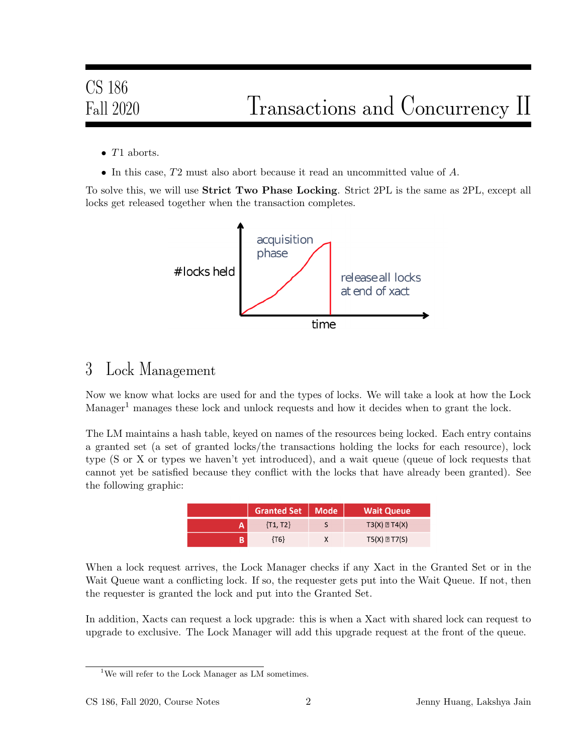- $\bullet$  T1 aborts.
- In this case, T2 must also abort because it read an uncommitted value of A.

To solve this, we will use **Strict Two Phase Locking**. Strict 2PL is the same as 2PL, except all locks get released together when the transaction completes.



### 3 Lock Management

Now we know what locks are used for and the types of locks. We will take a look at how the Lock  $Manager<sup>1</sup>$  manages these lock and unlock requests and how it decides when to grant the lock.

The LM maintains a hash table, keyed on names of the resources being locked. Each entry contains a granted set (a set of granted locks/the transactions holding the locks for each resource), lock type (S or X or types we haven't yet introduced), and a wait queue (queue of lock requests that cannot yet be satisfied because they conflict with the locks that have already been granted). See the following graphic:

|   | Granted Set   Mode | <b>Wait Queue</b>       |
|---|--------------------|-------------------------|
| А | $\{T1, T2\}$       | $T3(X) \boxtimes T4(X)$ |
|   | {T6}               | $T5(X) \boxtimes T7(S)$ |

When a lock request arrives, the Lock Manager checks if any Xact in the Granted Set or in the Wait Queue want a conflicting lock. If so, the requester gets put into the Wait Queue. If not, then the requester is granted the lock and put into the Granted Set.

In addition, Xacts can request a lock upgrade: this is when a Xact with shared lock can request to upgrade to exclusive. The Lock Manager will add this upgrade request at the front of the queue.

<sup>&</sup>lt;sup>1</sup>We will refer to the Lock Manager as LM sometimes.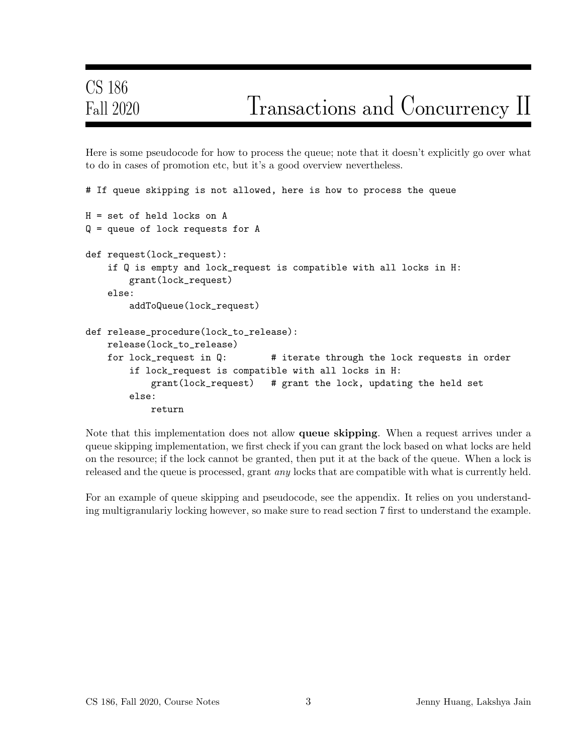Here is some pseudocode for how to process the queue; note that it doesn't explicitly go over what to do in cases of promotion etc, but it's a good overview nevertheless.

```
# If queue skipping is not allowed, here is how to process the queue
H = set of held locks on A
Q = queue of lock requests for A
def request(lock_request):
    if Q is empty and lock_request is compatible with all locks in H:
        grant(lock_request)
   else:
        addToQueue(lock_request)
def release_procedure(lock_to_release):
   release(lock_to_release)
   for lock_request in Q: # iterate through the lock requests in order
        if lock_request is compatible with all locks in H:
           grant(lock_request) # grant the lock, updating the held set
        else:
            return
```
Note that this implementation does not allow queue skipping. When a request arrives under a queue skipping implementation, we first check if you can grant the lock based on what locks are held on the resource; if the lock cannot be granted, then put it at the back of the queue. When a lock is released and the queue is processed, grant *any* locks that are compatible with what is currently held.

For an example of queue skipping and pseudocode, see the appendix. It relies on you understanding multigranulariy locking however, so make sure to read section 7 first to understand the example.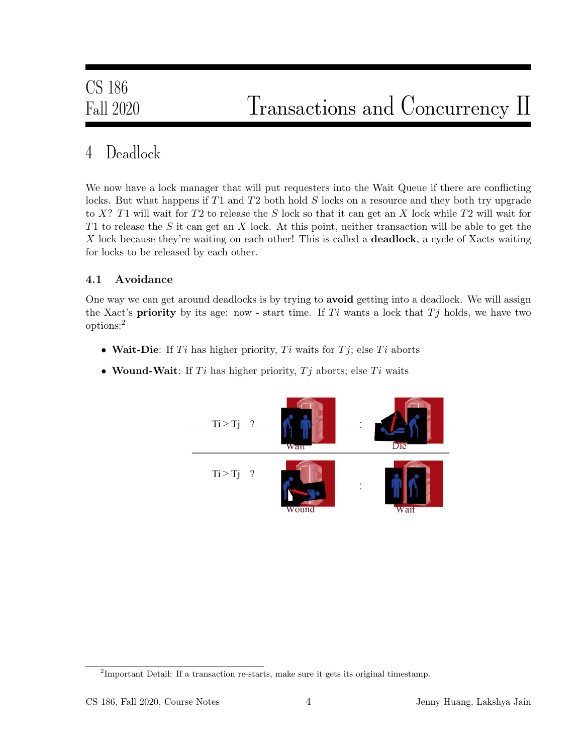## 4 Deadlock

We now have a lock manager that will put requesters into the Wait Queue if there are conflicting locks. But what happens if T1 and T2 both hold S locks on a resource and they both try upgrade to X? T1 will wait for T2 to release the S lock so that it can get an X lock while T2 will wait for T1 to release the S it can get an X lock. At this point, neither transaction will be able to get the X lock because they're waiting on each other! This is called a **deadlock**, a cycle of Xacts waiting for locks to be released by each other.

#### 4.1 Avoidance

One way we can get around deadlocks is by trying to avoid getting into a deadlock. We will assign the Xact's **priority** by its age: now - start time. If  $Ti$  wants a lock that  $Tj$  holds, we have two options:<sup>2</sup>

- Wait-Die: If  $Ti$  has higher priority,  $Ti$  waits for  $Tj$ ; else  $Ti$  aborts
- Wound-Wait: If  $Ti$  has higher priority,  $Tj$  aborts; else  $Ti$  waits



 $2<sup>2</sup>$ Important Detail: If a transaction re-starts, make sure it gets its original timestamp.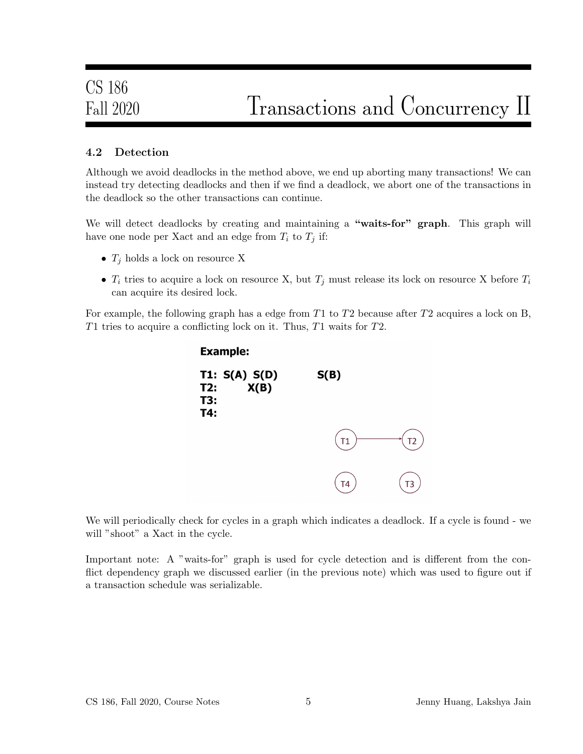#### 4.2 Detection

Although we avoid deadlocks in the method above, we end up aborting many transactions! We can instead try detecting deadlocks and then if we find a deadlock, we abort one of the transactions in the deadlock so the other transactions can continue.

We will detect deadlocks by creating and maintaining a "waits-for" graph. This graph will have one node per Xact and an edge from  $T_i$  to  $T_j$  if:

- $T_i$  holds a lock on resource X
- $T_i$  tries to acquire a lock on resource X, but  $T_j$  must release its lock on resource X before  $T_i$ can acquire its desired lock.

For example, the following graph has a edge from  $T1$  to  $T2$  because after  $T2$  acquires a lock on B, T1 tries to acquire a conflicting lock on it. Thus,  $T1$  waits for  $T2$ .



We will periodically check for cycles in a graph which indicates a deadlock. If a cycle is found - we will "shoot" a Xact in the cycle.

Important note: A "waits-for" graph is used for cycle detection and is different from the conflict dependency graph we discussed earlier (in the previous note) which was used to figure out if a transaction schedule was serializable.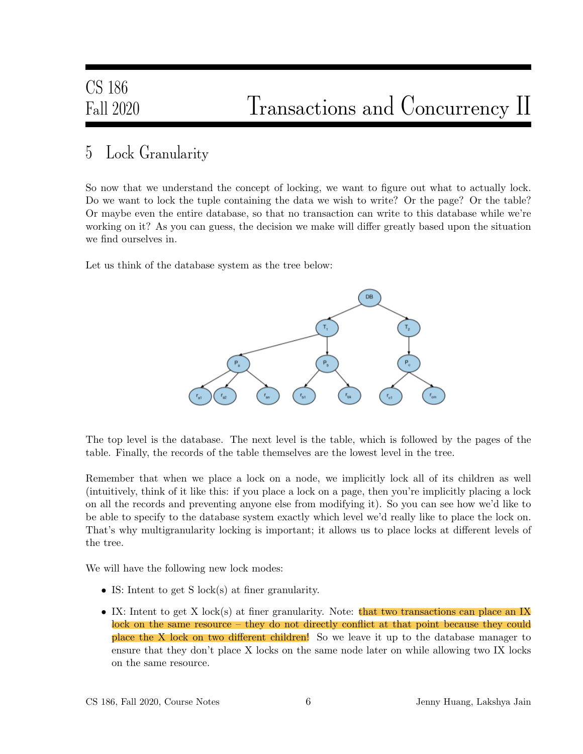### 5 Lock Granularity

So now that we understand the concept of locking, we want to figure out what to actually lock. Do we want to lock the tuple containing the data we wish to write? Or the page? Or the table? Or maybe even the entire database, so that no transaction can write to this database while we're working on it? As you can guess, the decision we make will differ greatly based upon the situation we find ourselves in.

Let us think of the database system as the tree below:



The top level is the database. The next level is the table, which is followed by the pages of the table. Finally, the records of the table themselves are the lowest level in the tree.

Remember that when we place a lock on a node, we implicitly lock all of its children as well (intuitively, think of it like this: if you place a lock on a page, then you're implicitly placing a lock on all the records and preventing anyone else from modifying it). So you can see how we'd like to be able to specify to the database system exactly which level we'd really like to place the lock on. That's why multigranularity locking is important; it allows us to place locks at different levels of the tree.

We will have the following new lock modes:

- IS: Intent to get S lock(s) at finer granularity.
- IX: Intent to get X lock(s) at finer granularity. Note: that two transactions can place an IX lock on the same resource – they do not directly conflict at that point because they could place the X lock on two different children! So we leave it up to the database manager to ensure that they don't place X locks on the same node later on while allowing two IX locks on the same resource.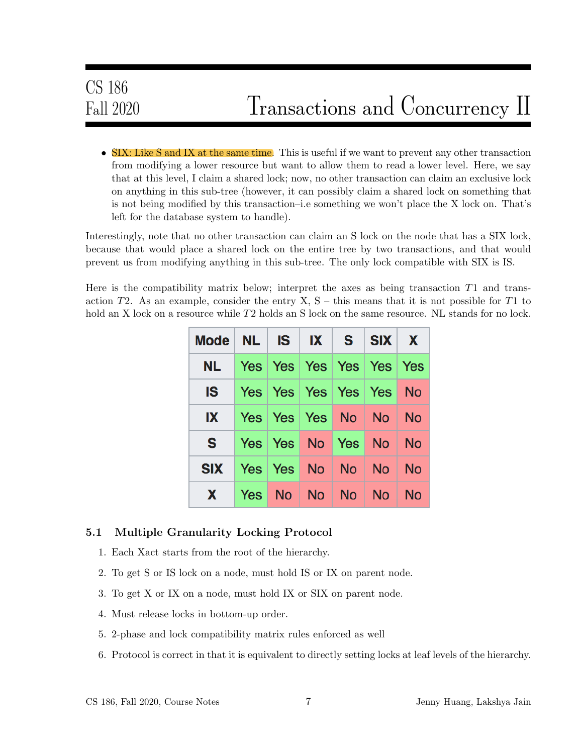• SIX: Like S and IX at the same time. This is useful if we want to prevent any other transaction from modifying a lower resource but want to allow them to read a lower level. Here, we say that at this level, I claim a shared lock; now, no other transaction can claim an exclusive lock on anything in this sub-tree (however, it can possibly claim a shared lock on something that is not being modified by this transaction–i.e something we won't place the X lock on. That's left for the database system to handle).

Interestingly, note that no other transaction can claim an S lock on the node that has a SIX lock, because that would place a shared lock on the entire tree by two transactions, and that would prevent us from modifying anything in this sub-tree. The only lock compatible with SIX is IS.

Here is the compatibility matrix below; interpret the axes as being transaction T1 and transaction T2. As an example, consider the entry  $X, S -$  this means that it is not possible for T1 to hold an X lock on a resource while T2 holds an S lock on the same resource. NL stands for no lock.

| Mode $NL$ IS $IX$ S SIX X |  |  |                                        |  |
|---------------------------|--|--|----------------------------------------|--|
|                           |  |  | NL   Yes   Yes   Yes   Yes   Yes   Yes |  |
|                           |  |  | IS   Yes   Yes   Yes   Yes   Yes   No  |  |
|                           |  |  | $IX$ Yes Yes Yes No No No              |  |
|                           |  |  | S Yes Yes No Yes No No                 |  |
| SIX Yes Yes No No No No   |  |  |                                        |  |
|                           |  |  | X   Yes   No   No   No   No   No       |  |

#### 5.1 Multiple Granularity Locking Protocol

- 1. Each Xact starts from the root of the hierarchy.
- 2. To get S or IS lock on a node, must hold IS or IX on parent node.
- 3. To get X or IX on a node, must hold IX or SIX on parent node.
- 4. Must release locks in bottom-up order.
- 5. 2-phase and lock compatibility matrix rules enforced as well
- 6. Protocol is correct in that it is equivalent to directly setting locks at leaf levels of the hierarchy.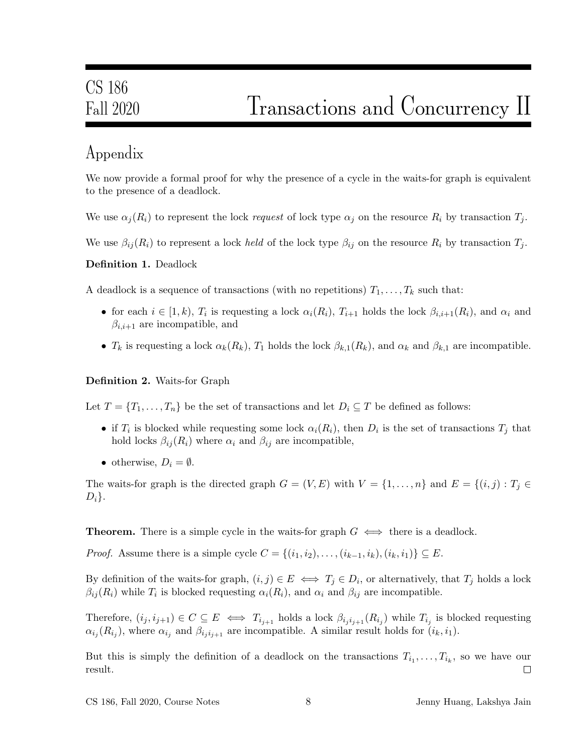## Appendix

We now provide a formal proof for why the presence of a cycle in the waits-for graph is equivalent to the presence of a deadlock.

We use  $\alpha_i(R_i)$  to represent the lock request of lock type  $\alpha_i$  on the resource  $R_i$  by transaction  $T_i$ .

We use  $\beta_{ij}(R_i)$  to represent a lock held of the lock type  $\beta_{ij}$  on the resource  $R_i$  by transaction  $T_j$ .

Definition 1. Deadlock

A deadlock is a sequence of transactions (with no repetitions)  $T_1, \ldots, T_k$  such that:

- for each  $i \in [1, k)$ ,  $T_i$  is requesting a lock  $\alpha_i(R_i)$ ,  $T_{i+1}$  holds the lock  $\beta_{i,i+1}(R_i)$ , and  $\alpha_i$  and  $\beta_{i,i+1}$  are incompatible, and
- $T_k$  is requesting a lock  $\alpha_k(R_k)$ ,  $T_1$  holds the lock  $\beta_{k,1}(R_k)$ , and  $\alpha_k$  and  $\beta_{k,1}$  are incompatible.

#### Definition 2. Waits-for Graph

Let  $T = \{T_1, \ldots, T_n\}$  be the set of transactions and let  $D_i \subseteq T$  be defined as follows:

- if  $T_i$  is blocked while requesting some lock  $\alpha_i(R_i)$ , then  $D_i$  is the set of transactions  $T_j$  that hold locks  $\beta_{ij}(R_i)$  where  $\alpha_i$  and  $\beta_{ij}$  are incompatible,
- otherwise,  $D_i = \emptyset$ .

The waits-for graph is the directed graph  $G = (V, E)$  with  $V = \{1, \ldots, n\}$  and  $E = \{(i, j) : T_j \in$  $D_i$ .

**Theorem.** There is a simple cycle in the waits-for graph  $G \iff$  there is a deadlock.

*Proof.* Assume there is a simple cycle  $C = \{(i_1, i_2), \ldots, (i_{k-1}, i_k), (i_k, i_1)\} \subseteq E$ .

By definition of the waits-for graph,  $(i, j) \in E \iff T_j \in D_i$ , or alternatively, that  $T_j$  holds a lock  $\beta_{ij}(R_i)$  while  $T_i$  is blocked requesting  $\alpha_i(R_i)$ , and  $\alpha_i$  and  $\beta_{ij}$  are incompatible.

Therefore,  $(i_j, i_{j+1}) \in C \subseteq E \iff T_{i_{j+1}}$  holds a lock  $\beta_{i_j i_{j+1}}(R_{i_j})$  while  $T_{i_j}$  is blocked requesting  $\alpha_{i_j}(R_{i_j})$ , where  $\alpha_{i_j}$  and  $\beta_{i_j i_{j+1}}$  are incompatible. A similar result holds for  $(i_k, i_1)$ .

But this is simply the definition of a deadlock on the transactions  $T_{i_1}, \ldots, T_{i_k}$ , so we have our result.  $\Box$